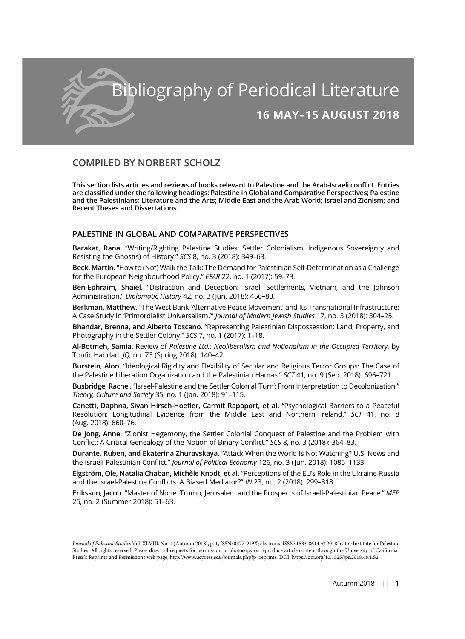

# COMPILED BY NORBERT SCHOLZ

This section lists articles and reviews of books relevant to Palestine and the Arab-Israeli conflict. Entries are classified under the following headings: Palestine in Global and Comparative Perspectives; Palestine and the Palestinians; Literature and the Arts; Middle East and the Arab World; Israel and Zionism; and Recent Theses and Dissertations.

# PALESTINE IN GLOBAL AND COMPARATIVE PERSPECTIVES

Barakat, Rana. "Writing/Righting Palestine Studies: Settler Colonialism, Indigenous Sovereignty and Resisting the Ghost(s) of History." SCS 8, no. 3 (2018): 349–63.

Beck, Martin. "How to (Not) Walk the Talk: The Demand for Palestinian Self-Determination as a Challenge for the European Neighbourhood Policy." EFAR 22, no. 1 (2017): 59–73.

Ben-Ephraim, Shaiel. "Distraction and Deception: Israeli Settlements, Vietnam, and the Johnson Administration." Diplomatic History 42, no. 3 (Jun. 2018): 456-83.

Berkman, Matthew. "The West Bank 'Alternative Peace Movement' and Its Transnational Infrastructure: A Case Study in 'Primordialist Universalism.'" Journal of Modern Jewish Studies 17, no. 3 (2018): 304–25.

Bhandar, Brenna, and Alberto Toscano. "Representing Palestinian Dispossession: Land, Property, and Photography in the Settler Colony." SCS 7, no. 1 (2017): 1–18.

Al-Botmeh, Samia. Review of Palestine Ltd.: Neoliberalism and Nationalism in the Occupied Territory, by Toufic Haddad. JQ, no. 73 (Spring 2018): 140–42.

Burstein, Alon. "Ideological Rigidity and Flexibility of Secular and Religious Terror Groups: The Case of the Palestine Liberation Organization and the Palestinian Hamas." SCT 41, no. 9 (Sep. 2018): 696–721.

Busbridge, Rachel. "Israel-Palestine and the Settler Colonial 'Turn': From Interpretation to Decolonization." Theory, Culture and Society 35, no. 1 (Jan. 2018): 91–115.

Canetti, Daphna, Sivan Hirsch-Hoefler, Carmit Rapaport, et al. "Psychological Barriers to a Peaceful Resolution: Longitudinal Evidence from the Middle East and Northern Ireland." SCT 41, no. 8 (Aug. 2018): 660–76.

De Jong, Anne. "Zionist Hegemony, the Settler Colonial Conquest of Palestine and the Problem with Conflict: A Critical Genealogy of the Notion of Binary Conflict." SCS 8, no. 3 (2018): 364–83.

Durante, Ruben, and Ekaterina Zhuravskaya. "Attack When the World Is Not Watching? U.S. News and the Israeli-Palestinian Conflict." Journal of Political Economy 126, no. 3 (Jun. 2018): 1085–1133.

Elgström, Ole, Natalia Chaban, Michèle Knodt, et al. "Perceptions of the EU's Role in the Ukraine-Russia and the Israel-Palestine Conflicts: A Biased Mediator?" IN 23, no. 2 (2018): 299–318.

Eriksson, Jacob. "Master of None: Trump, Jerusalem and the Prospects of Israeli-Palestinian Peace." MEP 25, no. 2 (Summer 2018): 51–63.

Journal of Palestine Studies Vol. XLVIII, No. 1 (Autumn 2018), p. 1, ISSN: 0377-919X; electronic ISSN: 1533-8614. © 2018 by the Institute for Palestine Studies. All rights reserved. Please direct all requests for permission to photocopy or reproduce article content through the University of California Press's Reprints and Permissions web page, http://www.ucpress.edu/journals.php?p=reprints. DOI: https://doi.org/10.1525/jps.2018.48.1.S2.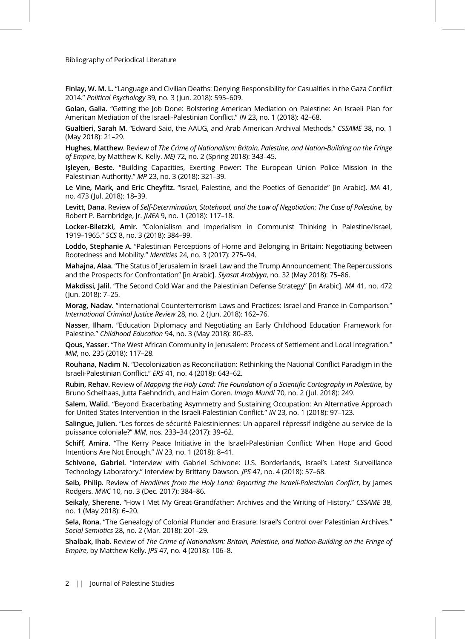Finlay, W. M. L. "Language and Civilian Deaths: Denying Responsibility for Casualties in the Gaza Conflict 2014." Political Psychology 39, no. 3 (Jun. 2018): 595–609.

Golan, Galia. "Getting the Job Done: Bolstering American Mediation on Palestine: An Israeli Plan for American Mediation of the Israeli-Palestinian Conflict." IN 23, no. 1 (2018): 42–68.

Gualtieri, Sarah M. "Edward Said, the AAUG, and Arab American Archival Methods." CSSAME 38, no. 1 (May 2018): 21–29.

Hughes, Matthew. Review of The Crime of Nationalism: Britain, Palestine, and Nation-Building on the Fringe of Empire, by Matthew K. Kelly. MEJ 72, no. 2 (Spring 2018): 343-45.

Işleyen, Beste. "Building Capacities, Exerting Power: The European Union Police Mission in the Palestinian Authority." MP 23, no. 3 (2018): 321–39.

Le Vine, Mark, and Eric Cheyfitz. "Israel, Palestine, and the Poetics of Genocide" [in Arabic]. MA 41, no. 473 (Jul. 2018): 18–39.

Levitt, Dana. Review of Self-Determination, Statehood, and the Law of Negotiation: The Case of Palestine, by Robert P. Barnbridge, Jr. JMEA 9, no. 1 (2018): 117–18.

Locker-Biletzki, Amir. "Colonialism and Imperialism in Communist Thinking in Palestine/Israel, 1919–1965." SCS 8, no. 3 (2018): 384–99.

Loddo, Stephanie A. "Palestinian Perceptions of Home and Belonging in Britain: Negotiating between Rootedness and Mobility." Identities 24, no. 3 (2017): 275–94.

Mahajna, Alaa. "The Status of Jerusalem in Israeli Law and the Trump Announcement: The Repercussions and the Prospects for Confrontation" [in Arabic]. Siyasat Arabiyya, no. 32 (May 2018): 75–86.

Makdissi, Jalil. "The Second Cold War and the Palestinian Defense Strategy" [in Arabic]. MA 41, no. 472 (Jun. 2018): 7–25.

Morag, Nadav. "International Counterterrorism Laws and Practices: Israel and France in Comparison." International Criminal Justice Review 28, no. 2 (Jun. 2018): 162–76.

Nasser, Ilham. "Education Diplomacy and Negotiating an Early Childhood Education Framework for Palestine." Childhood Education 94, no. 3 (May 2018): 80–83.

Qous, Yasser. "The West African Community in Jerusalem: Process of Settlement and Local Integration." MM, no. 235 (2018): 117–28.

Rouhana, Nadim N. "Decolonization as Reconciliation: Rethinking the National Conflict Paradigm in the Israeli-Palestinian Conflict." ERS 41, no. 4 (2018): 643–62.

Rubin, Rehav. Review of Mapping the Holy Land: The Foundation of a Scientific Cartography in Palestine, by Bruno Schelhaas, Jutta Faehndrich, and Haim Goren. Imago Mundi 70, no. 2 (Jul. 2018): 249.

Salem, Walid. "Beyond Exacerbating Asymmetry and Sustaining Occupation: An Alternative Approach for United States Intervention in the Israeli-Palestinian Conflict." IN 23, no. 1 (2018): 97–123.

Salingue, Julien. "Les forces de sécurité Palestiniennes: Un appareil répressif indigène au service de la puissance coloniale?" MM, nos. 233–34 (2017): 39–62.

Schiff, Amira. "The Kerry Peace Initiative in the Israeli-Palestinian Conflict: When Hope and Good Intentions Are Not Enough." IN 23, no. 1 (2018): 8–41.

Schivone, Gabriel. "Interview with Gabriel Schivone: U.S. Borderlands, Israel's Latest Surveillance Technology Laboratory." Interview by Brittany Dawson. JPS 47, no. 4 (2018): 57–68.

Seib, Philip. Review of Headlines from the Holy Land: Reporting the Israeli-Palestinian Conflict, by James Rodgers. MWC 10, no. 3 (Dec. 2017): 384–86.

Seikaly, Sherene. "How I Met My Great-Grandfather: Archives and the Writing of History." CSSAME 38, no. 1 (May 2018): 6–20.

Sela, Rona. "The Genealogy of Colonial Plunder and Erasure: Israel's Control over Palestinian Archives." Social Semiotics 28, no. 2 (Mar. 2018): 201–29.

Shalbak, Ihab. Review of The Crime of Nationalism: Britain, Palestine, and Nation-Building on the Fringe of Empire, by Matthew Kelly. JPS 47, no. 4 (2018): 106–8.

2 || Journal of Palestine Studies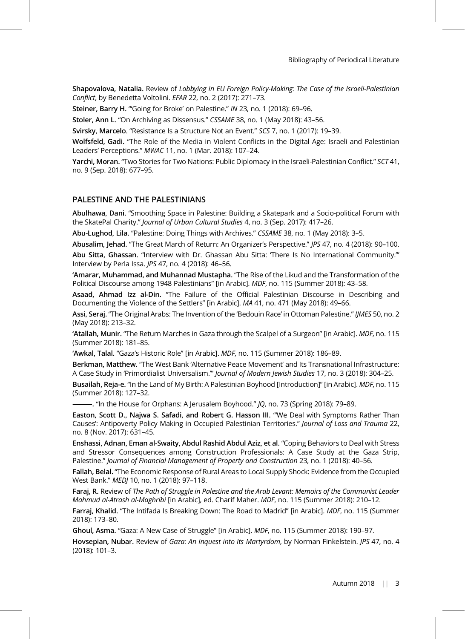Shapovalova, Natalia. Review of Lobbying in EU Foreign Policy-Making: The Case of the Israeli-Palestinian Conflict, by Benedetta Voltolini. EFAR 22, no. 2 (2017): 271–73.

Steiner, Barry H. "'Going for Broke' on Palestine." IN 23, no. 1 (2018): 69–96.

Stoler, Ann L. "On Archiving as Dissensus." CSSAME 38, no. 1 (May 2018): 43–56.

Svirsky, Marcelo. "Resistance Is a Structure Not an Event." SCS 7, no. 1 (2017): 19–39.

Wolfsfeld, Gadi. "The Role of the Media in Violent Conflicts in the Digital Age: Israeli and Palestinian Leaders' Perceptions." MWAC 11, no. 1 (Mar. 2018): 107–24.

Yarchi, Moran. "Two Stories for Two Nations: Public Diplomacy in the Israeli-Palestinian Conflict." SCT 41, no. 9 (Sep. 2018): 677–95.

### PALESTINE AND THE PALESTINIANS

Abulhawa, Dani. "Smoothing Space in Palestine: Building a Skatepark and a Socio-political Forum with the SkatePal Charity." Journal of Urban Cultural Studies 4, no. 3 (Sep. 2017): 417–26.

Abu-Lughod, Lila. "Palestine: Doing Things with Archives." CSSAME 38, no. 1 (May 2018): 3–5.

Abusalim, Jehad. "The Great March of Return: An Organizer's Perspective." JPS 47, no. 4 (2018): 90–100.

Abu Sitta, Ghassan. "Interview with Dr. Ghassan Abu Sitta: There Is No International Community." Interview by Perla Issa. JPS 47, no. 4 (2018): 46–56.

'Amarar, Muhammad, and Muhannad Mustapha. "The Rise of the Likud and the Transformation of the Political Discourse among 1948 Palestinians" [in Arabic]. MDF, no. 115 (Summer 2018): 43–58.

Asaad, Ahmad Izz al-Din. "The Failure of the Official Palestinian Discourse in Describing and Documenting the Violence of the Settlers" [in Arabic]. MA 41, no. 471 (May 2018): 49–66.

Assi, Seraj. "The Original Arabs: The Invention of the 'Bedouin Race' in Ottoman Palestine." IJMES 50, no. 2 (May 2018): 213–32.

'Atallah, Munir. "The Return Marches in Gaza through the Scalpel of a Surgeon" [in Arabic]. MDF, no. 115 (Summer 2018): 181–85.

'Awkal, Talal. "Gaza's Historic Role" [in Arabic]. MDF, no. 115 (Summer 2018): 186–89.

Berkman, Matthew. "The West Bank 'Alternative Peace Movement' and Its Transnational Infrastructure: A Case Study in 'Primordialist Universalism.'" Journal of Modern Jewish Studies 17, no. 3 (2018): 304–25.

Busailah, Reja-e. "In the Land of My Birth: A Palestinian Boyhood [Introduction]" [in Arabic]. MDF, no. 115 (Summer 2018): 127–32.

–. "In the House for Orphans: A Jerusalem Boyhood." JQ, no. 73 (Spring 2018): 79–89.

Easton, Scott D., Najwa S. Safadi, and Robert G. Hasson III. "'We Deal with Symptoms Rather Than Causes': Antipoverty Policy Making in Occupied Palestinian Territories." Journal of Loss and Trauma 22, no. 8 (Nov. 2017): 631–45.

Enshassi, Adnan, Eman al-Swaity, Abdul Rashid Abdul Aziz, et al. "Coping Behaviors to Deal with Stress and Stressor Consequences among Construction Professionals: A Case Study at the Gaza Strip, Palestine." Journal of Financial Management of Property and Construction 23, no. 1 (2018): 40–56.

Fallah, Belal. "The Economic Response of Rural Areas to Local Supply Shock: Evidence from the Occupied West Bank." MEDJ 10, no. 1 (2018): 97–118.

Faraj, R. Review of The Path of Struggle in Palestine and the Arab Levant: Memoirs of the Communist Leader Mahmud al-Atrash al-Maghribi [in Arabic], ed. Charif Maher. MDF, no. 115 (Summer 2018): 210–12.

Farraj, Khalid. "The Intifada Is Breaking Down: The Road to Madrid" [in Arabic]. MDF, no. 115 (Summer 2018): 173–80.

Ghoul, Asma. "Gaza: A New Case of Struggle" [in Arabic]. MDF, no. 115 (Summer 2018): 190–97.

Hovsepian, Nubar. Review of Gaza: An Inquest into Its Martyrdom, by Norman Finkelstein. JPS 47, no. 4 (2018): 101–3.

Autumn 2018 || 3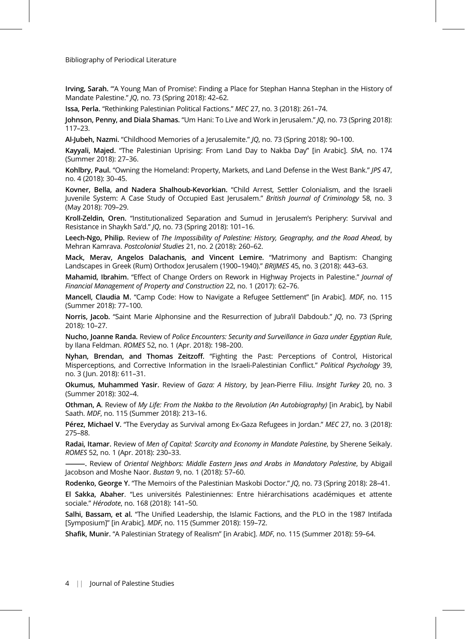Irving, Sarah. "'A Young Man of Promise': Finding a Place for Stephan Hanna Stephan in the History of Mandate Palestine." JQ, no. 73 (Spring 2018): 42–62.

Issa, Perla. "Rethinking Palestinian Political Factions." MEC 27, no. 3 (2018): 261–74.

Johnson, Penny, and Diala Shamas. "Um Hani: To Live and Work in Jerusalem." JQ, no. 73 (Spring 2018): 117–23.

Al-Jubeh, Nazmi. "Childhood Memories of a Jerusalemite." JQ, no. 73 (Spring 2018): 90–100.

Kayyali, Majed. "The Palestinian Uprising: From Land Day to Nakba Day" [in Arabic]. ShA, no. 174 (Summer 2018): 27–36.

Kohlbry, Paul. "Owning the Homeland: Property, Markets, and Land Defense in the West Bank." JPS 47, no. 4 (2018): 30–45.

Kovner, Bella, and Nadera Shalhoub-Kevorkian. "Child Arrest, Settler Colonialism, and the Israeli Juvenile System: A Case Study of Occupied East Jerusalem." British Journal of Criminology 58, no. 3 (May 2018): 709–29.

Kroll-Zeldin, Oren. "Institutionalized Separation and Sumud in Jerusalem's Periphery: Survival and Resistance in Shaykh Sa'd." JQ, no. 73 (Spring 2018): 101–16.

Leech-Ngo, Philip. Review of The Impossibility of Palestine: History, Geography, and the Road Ahead, by Mehran Kamrava. Postcolonial Studies 21, no. 2 (2018): 260–62.

Mack, Merav, Angelos Dalachanis, and Vincent Lemire. "Matrimony and Baptism: Changing Landscapes in Greek (Rum) Orthodox Jerusalem (1900–1940)." BRIJMES 45, no. 3 (2018): 443–63.

Mahamid, Ibrahim. "Effect of Change Orders on Rework in Highway Projects in Palestine." Journal of Financial Management of Property and Construction 22, no. 1 (2017): 62–76.

Mancell, Claudia M. "Camp Code: How to Navigate a Refugee Settlement" [in Arabic]. MDF, no. 115 (Summer 2018): 77–100.

Norris, Jacob. "Saint Marie Alphonsine and the Resurrection of Jubra'il Dabdoub." JQ, no. 73 (Spring 2018): 10–27.

Nucho, Joanne Randa. Review of Police Encounters: Security and Surveillance in Gaza under Egyptian Rule, by Ilana Feldman. ROMES 52, no. 1 (Apr. 2018): 198–200.

Nyhan, Brendan, and Thomas Zeitzoff. "Fighting the Past: Perceptions of Control, Historical Misperceptions, and Corrective Information in the Israeli-Palestinian Conflict." Political Psychology 39, no. 3 (Jun. 2018): 611–31.

Okumus, Muhammed Yasir. Review of Gaza: A History, by Jean-Pierre Filiu. Insight Turkey 20, no. 3 (Summer 2018): 302–4.

Othman, A. Review of My Life: From the Nakba to the Revolution (An Autobiography) [in Arabic], by Nabil Saath. MDF, no. 115 (Summer 2018): 213–16.

Pérez, Michael V. "The Everyday as Survival among Ex-Gaza Refugees in Jordan." MEC 27, no. 3 (2018): 275–88.

Radai, Itamar. Review of Men of Capital: Scarcity and Economy in Mandate Palestine, by Sherene Seikaly. ROMES 52, no. 1 (Apr. 2018): 230–33.

———. Review of Oriental Neighbors: Middle Eastern Jews and Arabs in Mandatory Palestine, by Abigail Jacobson and Moshe Naor. Bustan 9, no. 1 (2018): 57–60.

Rodenko, George Y. "The Memoirs of the Palestinian Maskobi Doctor." JQ, no. 73 (Spring 2018): 28–41.

El Sakka, Abaher. "Les universités Palestiniennes: Entre hiérarchisations académiques et attente sociale." Hérodote, no. 168 (2018): 141–50.

Salhi, Bassam, et al. "The Unified Leadership, the Islamic Factions, and the PLO in the 1987 Intifada [Symposium]" [in Arabic]. MDF, no. 115 (Summer 2018): 159–72.

Shafik, Munir. "A Palestinian Strategy of Realism" [in Arabic]. MDF, no. 115 (Summer 2018): 59–64.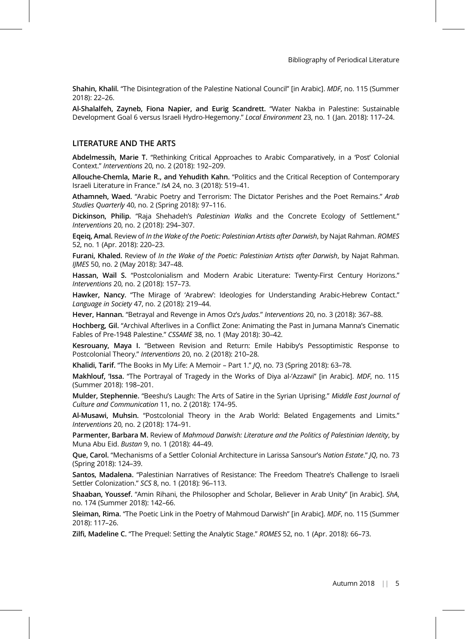Shahin, Khalil. "The Disintegration of the Palestine National Council" [in Arabic]. MDF, no. 115 (Summer 2018): 22–26.

Al-Shalalfeh, Zayneb, Fiona Napier, and Eurig Scandrett. "Water Nakba in Palestine: Sustainable Development Goal 6 versus Israeli Hydro-Hegemony." Local Environment 23, no. 1 (Jan. 2018): 117–24.

### LITERATURE AND THE ARTS

Abdelmessih, Marie T. "Rethinking Critical Approaches to Arabic Comparatively, in a 'Post' Colonial Context." Interventions 20, no. 2 (2018): 192–209.

Allouche-Chemla, Marie R., and Yehudith Kahn. "Politics and the Critical Reception of Contemporary Israeli Literature in France." IsA 24, no. 3 (2018): 519–41.

Athamneh, Waed. "Arabic Poetry and Terrorism: The Dictator Perishes and the Poet Remains." Arab Studies Quarterly 40, no. 2 (Spring 2018): 97–116.

Dickinson, Philip. "Raja Shehadeh's Palestinian Walks and the Concrete Ecology of Settlement." Interventions 20, no. 2 (2018): 294–307.

Eqeiq, Amal. Review of In the Wake of the Poetic: Palestinian Artists after Darwish, by Najat Rahman. ROMES 52, no. 1 (Apr. 2018): 220–23.

Furani, Khaled. Review of In the Wake of the Poetic: Palestinian Artists after Darwish, by Najat Rahman. IJMES 50, no. 2 (May 2018): 347–48.

Hassan, Waïl S. "Postcolonialism and Modern Arabic Literature: Twenty-First Century Horizons." Interventions 20, no. 2 (2018): 157–73.

Hawker, Nancy. "The Mirage of 'Arabrew': Ideologies for Understanding Arabic-Hebrew Contact." Language in Society 47, no. 2 (2018): 219–44.

Hever, Hannan. "Betrayal and Revenge in Amos Oz's Judas." Interventions 20, no. 3 (2018): 367–88.

Hochberg, Gil. "Archival Afterlives in a Conflict Zone: Animating the Past in Jumana Manna's Cinematic Fables of Pre-1948 Palestine." CSSAME 38, no. 1 (May 2018): 30–42.

Kesrouany, Maya I. "Between Revision and Return: Emile Habiby's Pessoptimistic Response to Postcolonial Theory." Interventions 20, no. 2 (2018): 210–28.

Khalidi, Tarif. "The Books in My Life: A Memoir – Part 1." JQ, no. 73 (Spring 2018): 63–78.

Makhlouf, 'Issa. "The Portrayal of Tragedy in the Works of Diya al-'Azzawi" [in Arabic]. MDF, no. 115 (Summer 2018): 198–201.

Mulder, Stephennie. "Beeshu's Laugh: The Arts of Satire in the Syrian Uprising." Middle East Journal of Culture and Communication 11, no. 2 (2018): 174–95.

Al-Musawi, Muhsin. "Postcolonial Theory in the Arab World: Belated Engagements and Limits." Interventions 20, no. 2 (2018): 174–91.

Parmenter, Barbara M. Review of Mahmoud Darwish: Literature and the Politics of Palestinian Identity, by Muna Abu Eid. Bustan 9, no. 1 (2018): 44–49.

Que, Carol. "Mechanisms of a Settler Colonial Architecture in Larissa Sansour's Nation Estate." JQ, no. 73 (Spring 2018): 124–39.

Santos, Madalena. "Palestinian Narratives of Resistance: The Freedom Theatre's Challenge to Israeli Settler Colonization." SCS 8, no. 1 (2018): 96–113.

Shaaban, Youssef. "Amin Rihani, the Philosopher and Scholar, Believer in Arab Unity" [in Arabic]. ShA, no. 174 (Summer 2018): 142–66.

Sleiman, Rima. "The Poetic Link in the Poetry of Mahmoud Darwish" [in Arabic]. MDF, no. 115 (Summer 2018): 117–26.

Zilfi, Madeline C. "The Prequel: Setting the Analytic Stage." ROMES 52, no. 1 (Apr. 2018): 66–73.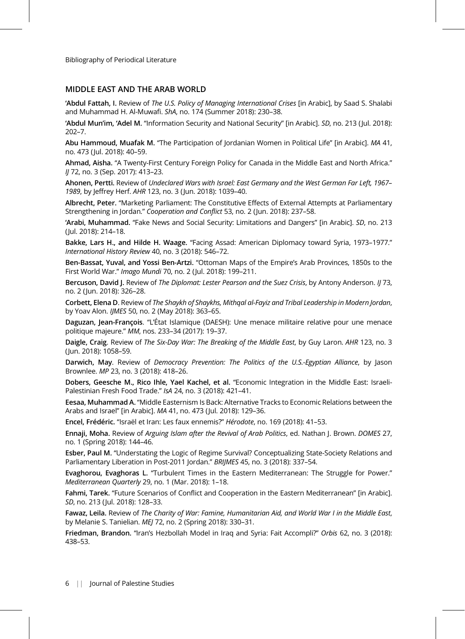## MIDDLE EAST AND THE ARAB WORLD

'Abdul Fattah, I. Review of The U.S. Policy of Managing International Crises [in Arabic], by Saad S. Shalabi and Muhammad H. Al-Muwafi. ShA, no. 174 (Summer 2018): 230–38.

'Abdul Mun'im, 'Adel M. "Information Security and National Security" [in Arabic]. SD, no. 213 (Jul. 2018): 202–7.

Abu Hammoud, Muafak M. "The Participation of Jordanian Women in Political Life" [in Arabic]. MA 41, no. 473 (Jul. 2018): 40–59.

Ahmad, Aisha. "A Twenty-First Century Foreign Policy for Canada in the Middle East and North Africa." IJ 72, no. 3 (Sep. 2017): 413–23.

Ahonen, Pertti. Review of Undeclared Wars with Israel: East Germany and the West German Far Left, 1967– 1989, by Jeffrey Herf. AHR 123, no. 3 (Jun. 2018): 1039–40.

Albrecht, Peter. "Marketing Parliament: The Constitutive Effects of External Attempts at Parliamentary Strengthening in Jordan." Cooperation and Conflict 53, no. 2 (Jun. 2018): 237–58.

'Arabi, Muhammad. "Fake News and Social Security: Limitations and Dangers" [in Arabic]. SD, no. 213 (Jul. 2018): 214–18.

Bakke, Lars H., and Hilde H. Waage. "Facing Assad: American Diplomacy toward Syria, 1973–1977." International History Review 40, no. 3 (2018): 546–72.

Ben-Bassat, Yuval, and Yossi Ben-Artzi. "Ottoman Maps of the Empire's Arab Provinces, 1850s to the First World War." Imago Mundi 70, no. 2 (Jul. 2018): 199–211.

Bercuson, David J. Review of The Diplomat: Lester Pearson and the Suez Crisis, by Antony Anderson. IJ 73, no. 2 (Jun. 2018): 326–28.

Corbett, Elena D. Review of The Shaykh of Shaykhs, Mithqal al-Fayiz and Tribal Leadership in Modern Jordan, by Yoav Alon. IJMES 50, no. 2 (May 2018): 363–65.

Daguzan, Jean-François. "L'État Islamique (DAESH): Une menace militaire relative pour une menace politique majeure." MM, nos. 233–34 (2017): 19–37.

Daigle, Craig. Review of The Six-Day War: The Breaking of the Middle East, by Guy Laron. AHR 123, no. 3 (Jun. 2018): 1058–59.

Darwich, May. Review of Democracy Prevention: The Politics of the U.S.-Egyptian Alliance, by Jason Brownlee. MP 23, no. 3 (2018): 418–26.

Dobers, Geesche M., Rico Ihle, Yael Kachel, et al. "Economic Integration in the Middle East: Israeli-Palestinian Fresh Food Trade." IsA 24, no. 3 (2018): 421–41.

Eesaa, Muhammad A. "Middle Easternism Is Back: Alternative Tracks to Economic Relations between the Arabs and Israel" [in Arabic]. MA 41, no. 473 (Jul. 2018): 129–36.

Encel, Frédéric. "Israël et Iran: Les faux ennemis?" Hérodote, no. 169 (2018): 41–53.

Ennaji, Moha. Review of Arguing Islam after the Revival of Arab Politics, ed. Nathan J. Brown. DOMES 27, no. 1 (Spring 2018): 144–46.

Esber, Paul M. "Understating the Logic of Regime Survival? Conceptualizing State-Society Relations and Parliamentary Liberation in Post-2011 Jordan." BRIJMES 45, no. 3 (2018): 337–54.

Evaghorou, Evaghoras L. "Turbulent Times in the Eastern Mediterranean: The Struggle for Power." Mediterranean Quarterly 29, no. 1 (Mar. 2018): 1–18.

Fahmi, Tarek. "Future Scenarios of Conflict and Cooperation in the Eastern Mediterranean" [in Arabic]. SD, no. 213 (Jul. 2018): 128–33.

Fawaz, Leila. Review of The Charity of War: Famine, Humanitarian Aid, and World War I in the Middle East, by Melanie S. Tanielian. MEJ 72, no. 2 (Spring 2018): 330–31.

Friedman, Brandon. "Iran's Hezbollah Model in Iraq and Syria: Fait Accompli?" Orbis 62, no. 3 (2018): 438–53.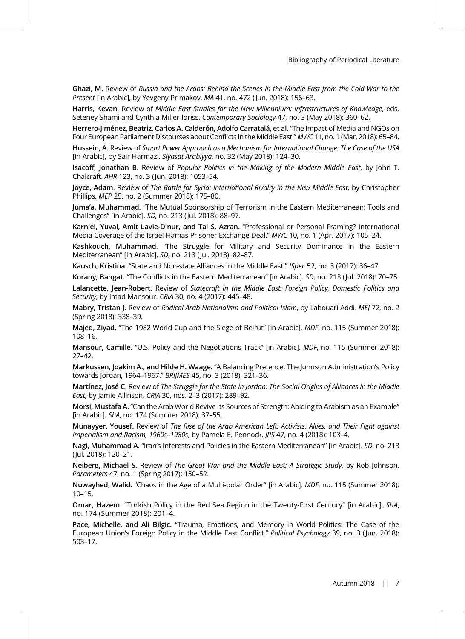Ghazi, M. Review of Russia and the Arabs: Behind the Scenes in the Middle East from the Cold War to the Present [in Arabic], by Yevgeny Primakov. MA 41, no. 472 (Jun. 2018): 156–63.

Harris, Kevan. Review of Middle East Studies for the New Millennium: Infrastructures of Knowledge, eds. Seteney Shami and Cynthia Miller-Idriss. Contemporary Sociology 47, no. 3 (May 2018): 360–62.

Herrero-Jiménez, Beatriz, Carlos A. Calderón, Adolfo Carratalá, et al. "The Impact of Media and NGOs on Four European Parliament Discourses about Conflicts in the Middle East." MWC 11, no. 1 (Mar. 2018): 65–84.

Hussein, A. Review of Smart Power Approach as a Mechanism for International Change: The Case of the USA [in Arabic], by Sair Harmazi. Siyasat Arabiyya, no. 32 (May 2018): 124-30.

Isacoff, Jonathan B. Review of Popular Politics in the Making of the Modern Middle East, by John T. Chalcraft. AHR 123, no. 3 (Jun. 2018): 1053–54.

Joyce, Adam. Review of The Battle for Syria: International Rivalry in the New Middle East, by Christopher Phillips. MEP 25, no. 2 (Summer 2018): 175–80.

Juma'a, Muhammad. "The Mutual Sponsorship of Terrorism in the Eastern Mediterranean: Tools and Challenges" [in Arabic]. SD, no. 213 (Jul. 2018): 88–97.

Karniel, Yuval, Amit Lavie-Dinur, and Tal S. Azran. "Professional or Personal Framing? International Media Coverage of the Israel-Hamas Prisoner Exchange Deal." MWC 10, no. 1 (Apr. 2017): 105–24.

Kashkouch, Muhammad. "The Struggle for Military and Security Dominance in the Eastern Mediterranean" [in Arabic]. SD, no. 213 (Jul. 2018): 82–87.

Kausch, Kristina. "State and Non-state Alliances in the Middle East." ISpec 52, no. 3 (2017): 36–47.

Korany, Bahgat. "The Conflicts in the Eastern Mediterranean" [in Arabic]. SD, no. 213 (Jul. 2018): 70–75. Lalancette, Jean-Robert. Review of Statecraft in the Middle East: Foreign Policy, Domestic Politics and Security, by Imad Mansour. CRIA 30, no. 4 (2017): 445–48.

Mabry, Tristan J. Review of Radical Arab Nationalism and Political Islam, by Lahouari Addi. MEJ 72, no. 2 (Spring 2018): 338–39.

Majed, Ziyad. "The 1982 World Cup and the Siege of Beirut" [in Arabic]. MDF, no. 115 (Summer 2018): 108–16.

Mansour, Camille. "U.S. Policy and the Negotiations Track" [in Arabic]. MDF, no. 115 (Summer 2018): 27–42.

Markussen, Joakim A., and Hilde H. Waage. "A Balancing Pretence: The Johnson Administration's Policy towards Jordan, 1964–1967." BRIJMES 45, no. 3 (2018): 321–36.

Martínez, José C. Review of The Struggle for the State in Jordan: The Social Origins of Alliances in the Middle East, by Jamie Allinson. CRIA 30, nos. 2–3 (2017): 289–92.

Morsi, Mustafa A. "Can the Arab World Revive Its Sources of Strength: Abiding to Arabism as an Example" [in Arabic]. ShA, no. 174 (Summer 2018): 37–55.

Munayyer, Yousef. Review of The Rise of the Arab American Left: Activists, Allies, and Their Fight against Imperialism and Racism, 1960s–1980s, by Pamela E. Pennock. JPS 47, no. 4 (2018): 103–4.

Nagi, Muhammad A. "Iran's Interests and Policies in the Eastern Mediterranean" [in Arabic]. SD, no. 213 (Jul. 2018): 120–21.

Neiberg, Michael S. Review of The Great War and the Middle East: A Strategic Study, by Rob Johnson. Parameters 47, no. 1 (Spring 2017): 150–52.

Nuwayhed, Walid. "Chaos in the Age of a Multi-polar Order" [in Arabic]. MDF, no. 115 (Summer 2018): 10–15.

Omar, Hazem. "Turkish Policy in the Red Sea Region in the Twenty-First Century" [in Arabic]. ShA, no. 174 (Summer 2018): 201–4.

Pace, Michelle, and Ali Bilgic. "Trauma, Emotions, and Memory in World Politics: The Case of the European Union's Foreign Policy in the Middle East Conflict." Political Psychology 39, no. 3 (Jun. 2018): 503–17.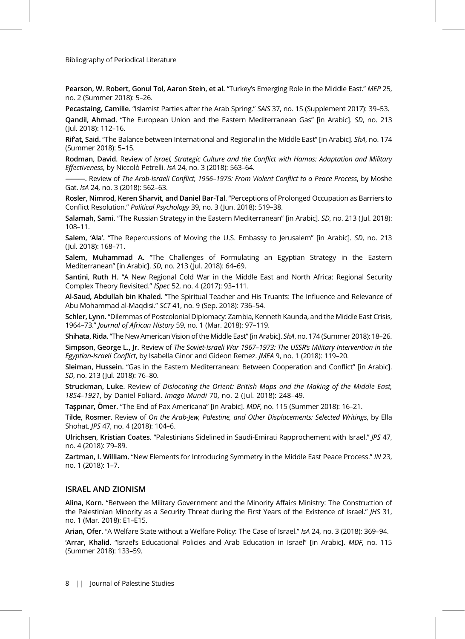Pearson, W. Robert, Gonul Tol, Aaron Stein, et al. "Turkey's Emerging Role in the Middle East." MEP 25, no. 2 (Summer 2018): 5–26.

Pecastaing, Camille. "Islamist Parties after the Arab Spring." SAIS 37, no. 1S (Supplement 2017): 39–53.

Qandil, Ahmad. "The European Union and the Eastern Mediterranean Gas" [in Arabic]. SD, no. 213 (Jul. 2018): 112–16.

Rifat, Said. "The Balance between International and Regional in the Middle East" [in Arabic]. ShA, no. 174 (Summer 2018): 5–15.

Rodman, David. Review of Israel, Strategic Culture and the Conflict with Hamas: Adaptation and Military Effectiveness, by Niccolò Petrelli. IsA 24, no. 3 (2018): 563–64.

-. Review of The Arab-Israeli Conflict, 1956–1975: From Violent Conflict to a Peace Process, by Moshe Gat. IsA 24, no. 3 (2018): 562–63.

Rosler, Nimrod, Keren Sharvit, and Daniel Bar-Tal. "Perceptions of Prolonged Occupation as Barriers to Conflict Resolution." Political Psychology 39, no. 3 (Jun. 2018): 519–38.

Salamah, Sami. "The Russian Strategy in the Eastern Mediterranean" [in Arabic]. SD, no. 213 (Jul. 2018): 108–11.

Salem, 'Ala'. "The Repercussions of Moving the U.S. Embassy to Jerusalem" [in Arabic]. SD, no. 213 (Jul. 2018): 168–71.

Salem, Muhammad A. "The Challenges of Formulating an Egyptian Strategy in the Eastern Mediterranean" [in Arabic]. SD, no. 213 (Jul. 2018): 64–69.

Santini, Ruth H. "A New Regional Cold War in the Middle East and North Africa: Regional Security Complex Theory Revisited." ISpec 52, no. 4 (2017): 93–111.

Al-Saud, Abdullah bin Khaled. "The Spiritual Teacher and His Truants: The Influence and Relevance of Abu Mohammad al-Maqdisi." SCT 41, no. 9 (Sep. 2018): 736–54.

Schler, Lynn. "Dilemmas of Postcolonial Diplomacy: Zambia, Kenneth Kaunda, and the Middle East Crisis, 1964–73." Journal of African History 59, no. 1 (Mar. 2018): 97–119.

Shihata, Rida. "The New American Vision of the Middle East" [in Arabic]. ShA, no. 174 (Summer 2018): 18–26.

Simpson, George L., Jr. Review of The Soviet-Israeli War 1967-1973: The USSR's Military Intervention in the Egyptian-Israeli Conflict, by Isabella Ginor and Gideon Remez. JMEA 9, no. 1 (2018): 119–20.

Sleiman, Hussein. "Gas in the Eastern Mediterranean: Between Cooperation and Conflict" [in Arabic]. SD, no. 213 (Jul. 2018): 76–80.

Struckman, Luke. Review of Dislocating the Orient: British Maps and the Making of the Middle East, 1854–1921, by Daniel Foliard. Imago Mundi 70, no. 2 (Jul. 2018): 248–49.

Taşpınar, Ömer. "The End of Pax Americana" [in Arabic]. MDF, no. 115 (Summer 2018): 16–21.

Tilde, Rosmer. Review of On the Arab-Jew, Palestine, and Other Displacements: Selected Writings, by Ella Shohat. JPS 47, no. 4 (2018): 104–6.

Ulrichsen, Kristian Coates. "Palestinians Sidelined in Saudi-Emirati Rapprochement with Israel." JPS 47, no. 4 (2018): 79–89.

Zartman, I. William. "New Elements for Introducing Symmetry in the Middle East Peace Process." IN 23, no. 1 (2018): 1–7.

#### ISRAEL AND ZIONISM

Alina, Korn. "Between the Military Government and the Minority Affairs Ministry: The Construction of the Palestinian Minority as a Security Threat during the First Years of the Existence of Israel." JHS 31, no. 1 (Mar. 2018): E1–E15.

Arian, Ofer. "A Welfare State without a Welfare Policy: The Case of Israel." IsA 24, no. 3 (2018): 369–94. 'Arrar, Khalid. "Israel's Educational Policies and Arab Education in Israel" [in Arabic]. MDF, no. 115 (Summer 2018): 133–59.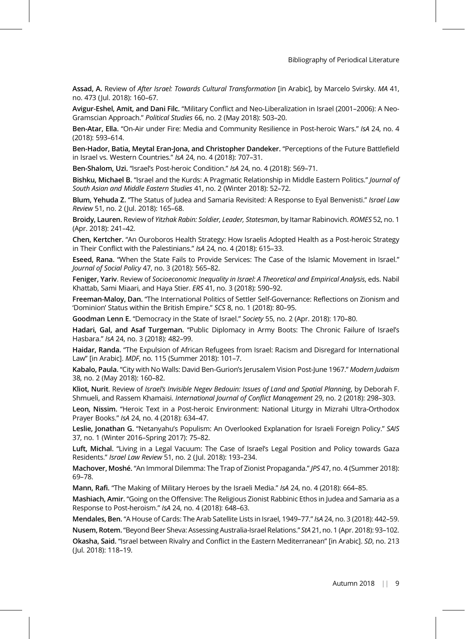Assad, A. Review of After Israel: Towards Cultural Transformation [in Arabic], by Marcelo Svirsky. MA 41, no. 473 (Jul. 2018): 160–67.

Avigur-Eshel, Amit, and Dani Filc. "Military Conflict and Neo-Liberalization in Israel (2001–2006): A Neo-Gramscian Approach." Political Studies 66, no. 2 (May 2018): 503–20.

Ben-Atar, Ella. "On-Air under Fire: Media and Community Resilience in Post-heroic Wars." IsA 24, no. 4 (2018): 593–614.

Ben-Hador, Batia, Meytal Eran-Jona, and Christopher Dandeker. "Perceptions of the Future Battlefield in Israel vs. Western Countries." IsA 24, no. 4 (2018): 707–31.

Ben-Shalom, Uzi. "Israel's Post-heroic Condition." IsA 24, no. 4 (2018): 569–71.

Bishku, Michael B. "Israel and the Kurds: A Pragmatic Relationship in Middle Eastern Politics." Journal of South Asian and Middle Eastern Studies 41, no. 2 (Winter 2018): 52–72.

Blum, Yehuda Z. "The Status of Judea and Samaria Revisited: A Response to Eyal Benvenisti." Israel Law Review 51, no. 2 (Jul. 2018): 165–68.

Broidy, Lauren. Review of Yitzhak Rabin: Soldier, Leader, Statesman, by Itamar Rabinovich. ROMES 52, no. 1 (Apr. 2018): 241–42.

Chen, Kertcher. "An Ouroboros Health Strategy: How Israelis Adopted Health as a Post-heroic Strategy in Their Conflict with the Palestinians." IsA 24, no. 4 (2018): 615–33.

Eseed, Rana. "When the State Fails to Provide Services: The Case of the Islamic Movement in Israel." Journal of Social Policy 47, no. 3 (2018): 565–82.

Feniger, Yariv. Review of Socioeconomic Inequality in Israel: A Theoretical and Empirical Analysis, eds. Nabil Khattab, Sami Miaari, and Haya Stier. ERS 41, no. 3 (2018): 590–92.

Freeman-Maloy, Dan. "The International Politics of Settler Self-Governance: Reflections on Zionism and 'Dominion' Status within the British Empire." SCS 8, no. 1 (2018): 80–95.

Goodman Lenn E. "Democracy in the State of Israel." Society 55, no. 2 (Apr. 2018): 170–80.

Hadari, Gal, and Asaf Turgeman. "Public Diplomacy in Army Boots: The Chronic Failure of Israel's Hasbara." IsA 24, no. 3 (2018): 482–99.

Haidar, Randa. "The Expulsion of African Refugees from Israel: Racism and Disregard for International Law" [in Arabic]. MDF, no. 115 (Summer 2018): 101–7.

Kabalo, Paula. "City with No Walls: David Ben-Gurion's Jerusalem Vision Post-June 1967." Modern Judaism 38, no. 2 (May 2018): 160–82.

Kliot, Nurit. Review of Israel's Invisible Negev Bedouin: Issues of Land and Spatial Planning, by Deborah F. Shmueli, and Rassem Khamaisi. International Journal of Conflict Management 29, no. 2 (2018): 298–303.

Leon, Nissim. "Heroic Text in a Post-heroic Environment: National Liturgy in Mizrahi Ultra-Orthodox Prayer Books." IsA 24, no. 4 (2018): 634–47.

Leslie, Jonathan G. "Netanyahu's Populism: An Overlooked Explanation for Israeli Foreign Policy." SAIS 37, no. 1 (Winter 2016–Spring 2017): 75–82.

Luft, Michal. "Living in a Legal Vacuum: The Case of Israel's Legal Position and Policy towards Gaza Residents." Israel Law Review 51, no. 2 (Jul. 2018): 193–234.

Machover, Moshé. "An Immoral Dilemma: The Trap of Zionist Propaganda." JPS 47, no. 4 (Summer 2018): 69–78.

Mann, Rafi. "The Making of Military Heroes by the Israeli Media." IsA 24, no. 4 (2018): 664–85.

Mashiach, Amir. "Going on the Offensive: The Religious Zionist Rabbinic Ethos in Judea and Samaria as a Response to Post-heroism." IsA 24, no. 4 (2018): 648–63.

Mendales, Ben. "A House of Cards: The Arab Satellite Lists in Israel, 1949–77." IsA 24, no. 3 (2018): 442–59. Nusem, Rotem."Beyond Beer Sheva: Assessing Australia-Israel Relations." StA 21, no. 1 (Apr. 2018): 93–102.

Okasha, Said. "Israel between Rivalry and Conflict in the Eastern Mediterranean" [in Arabic]. SD, no. 213 (Jul. 2018): 118–19.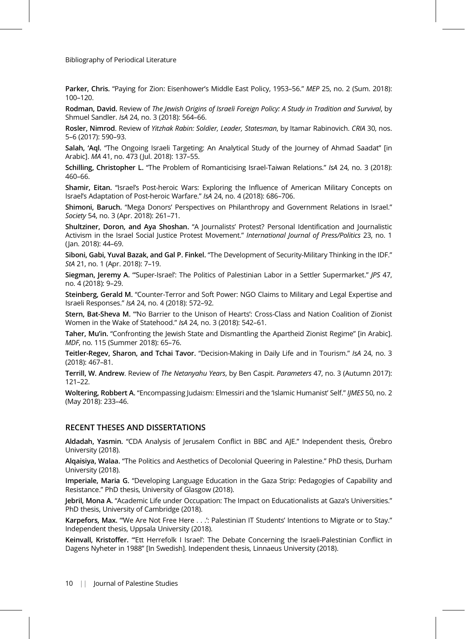Parker, Chris. "Paying for Zion: Eisenhower's Middle East Policy, 1953-56." MEP 25, no. 2 (Sum. 2018): 100–120.

Rodman, David. Review of The Jewish Origins of Israeli Foreign Policy: A Study in Tradition and Survival, by Shmuel Sandler. IsA 24, no. 3 (2018): 564–66.

Rosler, Nimrod. Review of Yitzhak Rabin: Soldier, Leader, Statesman, by Itamar Rabinovich. CRIA 30, nos. 5–6 (2017): 590–93.

Salah, 'Aql. "The Ongoing Israeli Targeting: An Analytical Study of the Journey of Ahmad Saadat" [in Arabic]. MA 41, no. 473 (Jul. 2018): 137–55.

Schilling, Christopher L. "The Problem of Romanticising Israel-Taiwan Relations." IsA 24, no. 3 (2018): 460–66.

Shamir, Eitan. "Israel's Post-heroic Wars: Exploring the Influence of American Military Concepts on Israel's Adaptation of Post-heroic Warfare." IsA 24, no. 4 (2018): 686–706.

Shimoni, Baruch. "Mega Donors' Perspectives on Philanthropy and Government Relations in Israel." Society 54, no. 3 (Apr. 2018): 261–71.

Shultziner, Doron, and Aya Shoshan. "A Journalists' Protest? Personal Identification and Journalistic Activism in the Israel Social Justice Protest Movement." International Journal of Press/Politics 23, no. 1 (Jan. 2018): 44–69.

Siboni, Gabi, Yuval Bazak, and Gal P. Finkel. "The Development of Security-Military Thinking in the IDF." StA 21, no. 1 (Apr. 2018): 7–19.

Siegman, Jeremy A. "'Super-Israel': The Politics of Palestinian Labor in a Settler Supermarket." *JPS 47*, no. 4 (2018): 9–29.

Steinberg, Gerald M. "Counter-Terror and Soft Power: NGO Claims to Military and Legal Expertise and Israeli Responses." IsA 24, no. 4 (2018): 572–92.

Stern, Bat-Sheva M. "'No Barrier to the Unison of Hearts': Cross-Class and Nation Coalition of Zionist Women in the Wake of Statehood." IsA 24, no. 3 (2018): 542–61.

Taher, Mu'in. "Confronting the Jewish State and Dismantling the Apartheid Zionist Regime" [in Arabic]. MDF, no. 115 (Summer 2018): 65–76.

Teitler-Regev, Sharon, and Tchai Tavor. "Decision-Making in Daily Life and in Tourism." IsA 24, no. 3 (2018): 467–81.

Terrill, W. Andrew. Review of The Netanyahu Years, by Ben Caspit. Parameters 47, no. 3 (Autumn 2017): 121–22.

Woltering, Robbert A. "Encompassing Judaism: Elmessiri and the 'Islamic Humanist' Self." IJMES 50, no. 2 (May 2018): 233–46.

### RECENT THESES AND DISSERTATIONS

Aldadah, Yasmin. "CDA Analysis of Jerusalem Conflict in BBC and AJE." Independent thesis, Örebro University (2018).

Alqaisiya, Walaa. "The Politics and Aesthetics of Decolonial Queering in Palestine." PhD thesis, Durham University (2018).

Imperiale, Maria G. "Developing Language Education in the Gaza Strip: Pedagogies of Capability and Resistance." PhD thesis, University of Glasgow (2018).

Jebril, Mona A. "Academic Life under Occupation: The Impact on Educationalists at Gaza's Universities." PhD thesis, University of Cambridge (2018).

Karpefors, Max. "'We Are Not Free Here . . .': Palestinian IT Students' Intentions to Migrate or to Stay." Independent thesis, Uppsala University (2018).

Keinvall, Kristoffer. "'Ett Herrefolk I Israel': The Debate Concerning the Israeli-Palestinian Conflict in Dagens Nyheter in 1988" [In Swedish]. Independent thesis, Linnaeus University (2018).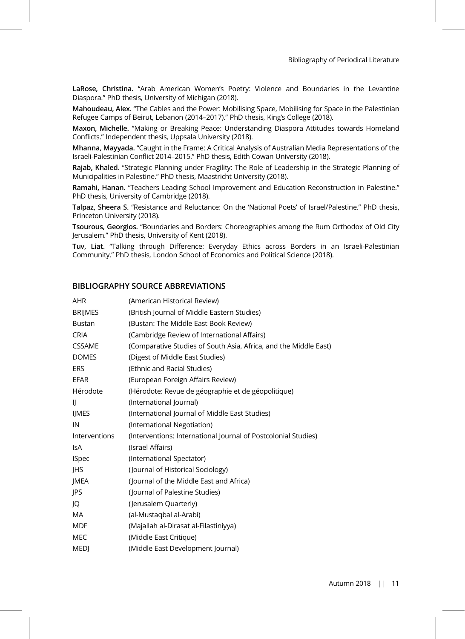LaRose, Christina. "Arab American Women's Poetry: Violence and Boundaries in the Levantine Diaspora." PhD thesis, University of Michigan (2018).

Mahoudeau, Alex. "The Cables and the Power: Mobilising Space, Mobilising for Space in the Palestinian Refugee Camps of Beirut, Lebanon (2014–2017)." PhD thesis, King's College (2018).

Maxon, Michelle. "Making or Breaking Peace: Understanding Diaspora Attitudes towards Homeland Conflicts." Independent thesis, Uppsala University (2018).

Mhanna, Mayyada. "Caught in the Frame: A Critical Analysis of Australian Media Representations of the Israeli-Palestinian Conflict 2014–2015." PhD thesis, Edith Cowan University (2018).

Rajab, Khaled. "Strategic Planning under Fragility: The Role of Leadership in the Strategic Planning of Municipalities in Palestine." PhD thesis, Maastricht University (2018).

Ramahi, Hanan. "Teachers Leading School Improvement and Education Reconstruction in Palestine." PhD thesis, University of Cambridge (2018).

Talpaz, Sheera S. "Resistance and Reluctance: On the 'National Poets' of Israel/Palestine." PhD thesis, Princeton University (2018).

Tsourous, Georgios. "Boundaries and Borders: Choreographies among the Rum Orthodox of Old City Jerusalem." PhD thesis, University of Kent (2018).

Tuv, Liat. "Talking through Difference: Everyday Ethics across Borders in an Israeli-Palestinian Community." PhD thesis, London School of Economics and Political Science (2018).

## BIBLIOGRAPHY SOURCE ABBREVIATIONS

| AHR            | (American Historical Review)                                     |
|----------------|------------------------------------------------------------------|
| <b>BRIJMES</b> | (British Journal of Middle Eastern Studies)                      |
| <b>Bustan</b>  | (Bustan: The Middle East Book Review)                            |
| <b>CRIA</b>    | (Cambridge Review of International Affairs)                      |
| <b>CSSAME</b>  | (Comparative Studies of South Asia, Africa, and the Middle East) |
| <b>DOMES</b>   | (Digest of Middle East Studies)                                  |
| <b>ERS</b>     | (Ethnic and Racial Studies)                                      |
| EFAR           | (European Foreign Affairs Review)                                |
| Hérodote       | (Hérodote: Revue de géographie et de géopolitique)               |
| IJ             | (International Journal)                                          |
| <b>IJMES</b>   | (International Journal of Middle East Studies)                   |
| IN             | (International Negotiation)                                      |
| Interventions  | (Interventions: International Journal of Postcolonial Studies)   |
| <b>IsA</b>     | (Israel Affairs)                                                 |
| <b>ISpec</b>   | (International Spectator)                                        |
| JHS            | (Journal of Historical Sociology)                                |
| JMEA           | (Journal of the Middle East and Africa)                          |
| JPS            | (Journal of Palestine Studies)                                   |
| JQ             | (Jerusalem Quarterly)                                            |
| MA.            | (al-Mustaqbal al-Arabi)                                          |
| <b>MDF</b>     | (Majallah al-Dirasat al-Filastiniyya)                            |
| MEC            | (Middle East Critique)                                           |
| <b>MEDI</b>    | (Middle East Development Journal)                                |